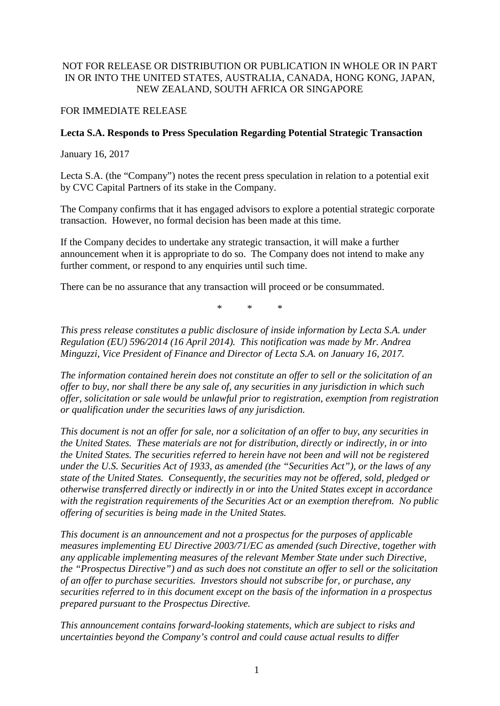## NOT FOR RELEASE OR DISTRIBUTION OR PUBLICATION IN WHOLE OR IN PART IN OR INTO THE UNITED STATES, AUSTRALIA, CANADA, HONG KONG, JAPAN, NEW ZEALAND, SOUTH AFRICA OR SINGAPORE

## FOR IMMEDIATE RELEASE

## **Lecta S.A. Responds to Press Speculation Regarding Potential Strategic Transaction**

January 16, 2017

Lecta S.A. (the "Company") notes the recent press speculation in relation to a potential exit by CVC Capital Partners of its stake in the Company.

The Company confirms that it has engaged advisors to explore a potential strategic corporate transaction. However, no formal decision has been made at this time.

If the Company decides to undertake any strategic transaction, it will make a further announcement when it is appropriate to do so. The Company does not intend to make any further comment, or respond to any enquiries until such time.

There can be no assurance that any transaction will proceed or be consummated.

\* \* \*

*This press release constitutes a public disclosure of inside information by Lecta S.A. under Regulation (EU) 596/2014 (16 April 2014). This notification was made by Mr. Andrea Minguzzi, Vice President of Finance and Director of Lecta S.A. on January 16, 2017.*

*The information contained herein does not constitute an offer to sell or the solicitation of an offer to buy, nor shall there be any sale of, any securities in any jurisdiction in which such offer, solicitation or sale would be unlawful prior to registration, exemption from registration or qualification under the securities laws of any jurisdiction.*

*This document is not an offer for sale, nor a solicitation of an offer to buy, any securities in the United States. These materials are not for distribution, directly or indirectly, in or into the United States. The securities referred to herein have not been and will not be registered under the U.S. Securities Act of 1933, as amended (the "Securities Act"), or the laws of any state of the United States. Consequently, the securities may not be offered, sold, pledged or otherwise transferred directly or indirectly in or into the United States except in accordance with the registration requirements of the Securities Act or an exemption therefrom. No public offering of securities is being made in the United States.*

*This document is an announcement and not a prospectus for the purposes of applicable measures implementing EU Directive 2003/71/EC as amended (such Directive, together with any applicable implementing measures of the relevant Member State under such Directive, the "Prospectus Directive") and as such does not constitute an offer to sell or the solicitation of an offer to purchase securities. Investors should not subscribe for, or purchase, any securities referred to in this document except on the basis of the information in a prospectus prepared pursuant to the Prospectus Directive.*

*This announcement contains forward-looking statements, which are subject to risks and uncertainties beyond the Company's control and could cause actual results to differ*